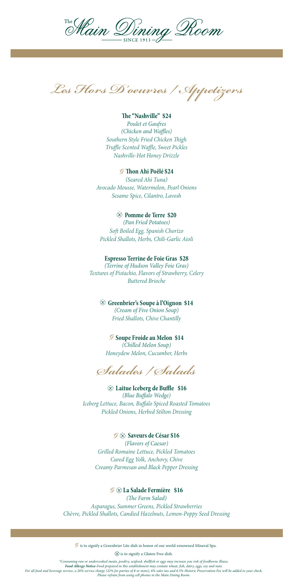

*Les Hors D'oeuvres / Appetizers*

## **The "Nashville" \$24**

*Poulet et Gaufres (Chicken and Waffles) Southern Style Fried Chicken Thigh Truffle Scented Waffle, Sweet Pickles Nashville-Hot Honey Drizzle*

### **Thon Ahi Poêlé \$24**

*(Seared Ahi Tuna) Avocado Mousse, Watermelon, Pearl Onions Sesame Spice, Cilantro, Lavosh*

### **Pomme de Terre \$20**

*(Pan Fried Potatoes) Soft Boiled Egg, Spanish Chorizo Pickled Shallots, Herbs, Chili-Garlic Aioli*

### **Espresso Terrine de Foie Gras \$28**

*(Terrine of Hudson Valley Foie Gras) Textures of Pistachio, Flavors of Strawberry, Celery Buttered Brioche*

## **Greenbrier's Soupe à l'Oignon \$14**

*(Cream of Five Onion Soup) Fried Shallots, Chive Chantilly* 

### *S* Soupe Froide au Melon \$14

*(Chilled Melon Soup) Honeydew Melon, Cucumber, Herbs*

*Salades / Salads*

 **Laitue Iceberg de Buffle \$16** *(Blue Buffalo Wedge) Iceberg Lettuce, Bacon, Buffalo Spiced Roasted Tomatoes Pickled Onions, Herbed Stilton Dressing*

**Saveurs de César \$16** *(Flavors of Caesar) Grilled Romaine Lettuce, Pickled Tomatoes Cured Egg Yolk, Anchovy, Chive Creamy Parmesan and Black Pepper Dressing*

### **La Salade Fermière \$16**

*(The Farm Salad) Asparagus, Summer Greens, Pickled Strawberries Chèvre, Pickled Shallots, Candied Hazelnuts, Lemon-Poppy Seed Dressing*

 $\mathscr G$  is to signify a Greenbrier Lite dish in honor of our world-renowned Mineral Spa.

 $\textcircled{x}$  is to signify a Gluten Free dish.

\*Consuming raw or undercooked meats, poultry, seafood, shellfish or eggs may increase you risk of foodborne illness.<br>Food Allergy Notice-Food prepared in this establishment may contain wheat, fish, dairy, eggs, soy and nut